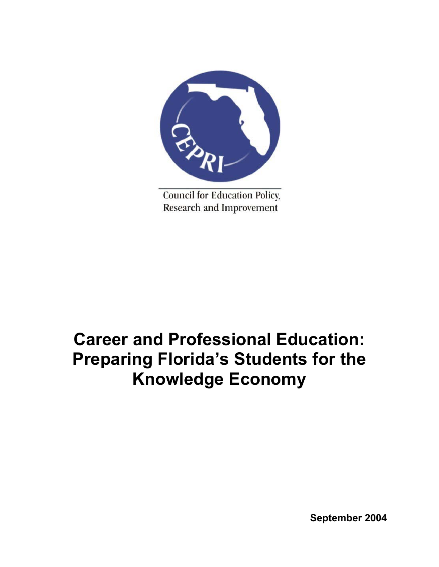

**Council for Education Policy,** Research and Improvement

# **Career and Professional Education: Preparing Florida's Students for the Knowledge Economy**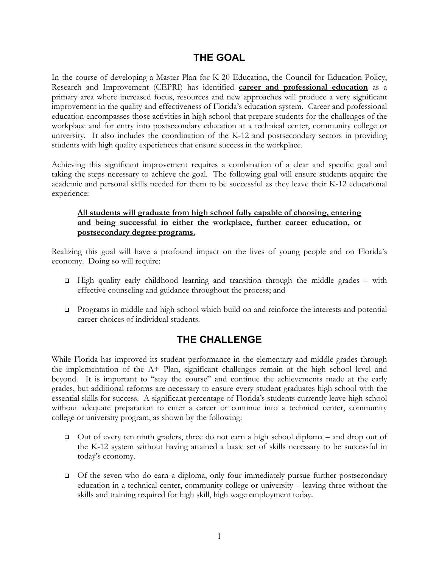## **THE GOAL**

In the course of developing a Master Plan for K-20 Education, the Council for Education Policy, Research and Improvement (CEPRI) has identified **career and professional education** as a primary area where increased focus, resources and new approaches will produce a very significant improvement in the quality and effectiveness of Florida's education system. Career and professional education encompasses those activities in high school that prepare students for the challenges of the workplace and for entry into postsecondary education at a technical center, community college or university. It also includes the coordination of the K-12 and postsecondary sectors in providing students with high quality experiences that ensure success in the workplace.

Achieving this significant improvement requires a combination of a clear and specific goal and taking the steps necessary to achieve the goal. The following goal will ensure students acquire the academic and personal skills needed for them to be successful as they leave their K-12 educational experience:

## **All students will graduate from high school fully capable of choosing, entering and being successful in either the workplace, further career education, or postsecondary degree programs.**

Realizing this goal will have a profound impact on the lives of young people and on Florida's economy. Doing so will require:

- $\Box$  High quality early childhood learning and transition through the middle grades with effective counseling and guidance throughout the process; and
- Programs in middle and high school which build on and reinforce the interests and potential career choices of individual students.

# **THE CHALLENGE**

While Florida has improved its student performance in the elementary and middle grades through the implementation of the A+ Plan, significant challenges remain at the high school level and beyond. It is important to "stay the course" and continue the achievements made at the early grades, but additional reforms are necessary to ensure every student graduates high school with the essential skills for success. A significant percentage of Florida's students currently leave high school without adequate preparation to enter a career or continue into a technical center, community college or university program, as shown by the following:

- $\Box$  Out of every ten ninth graders, three do not earn a high school diploma and drop out of the K-12 system without having attained a basic set of skills necessary to be successful in today's economy.
- $\Box$  Of the seven who do earn a diploma, only four immediately pursue further postsecondary education in a technical center, community college or university – leaving three without the skills and training required for high skill, high wage employment today.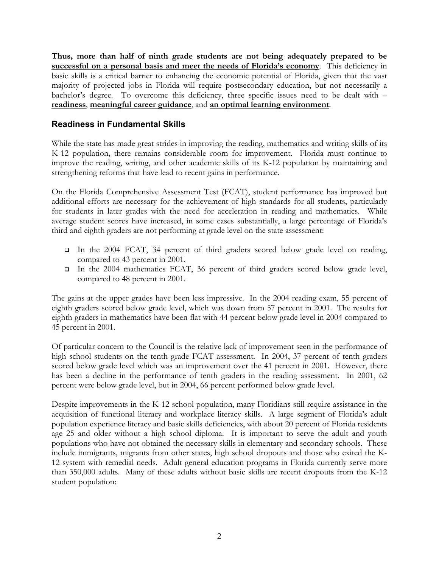**Thus, more than half of ninth grade students are not being adequately prepared to be successful on a personal basis and meet the needs of Florida's economy**. This deficiency in basic skills is a critical barrier to enhancing the economic potential of Florida, given that the vast majority of projected jobs in Florida will require postsecondary education, but not necessarily a bachelor's degree. To overcome this deficiency, three specific issues need to be dealt with – **readiness**, **meaningful career guidance**, and **an optimal learning environment**.

## **Readiness in Fundamental Skills**

While the state has made great strides in improving the reading, mathematics and writing skills of its K-12 population, there remains considerable room for improvement. Florida must continue to improve the reading, writing, and other academic skills of its K-12 population by maintaining and strengthening reforms that have lead to recent gains in performance.

On the Florida Comprehensive Assessment Test (FCAT), student performance has improved but additional efforts are necessary for the achievement of high standards for all students, particularly for students in later grades with the need for acceleration in reading and mathematics. While average student scores have increased, in some cases substantially, a large percentage of Florida's third and eighth graders are not performing at grade level on the state assessment:

- In the 2004 FCAT, 34 percent of third graders scored below grade level on reading, compared to 43 percent in 2001.
- In the 2004 mathematics FCAT, 36 percent of third graders scored below grade level, compared to 48 percent in 2001.

The gains at the upper grades have been less impressive. In the 2004 reading exam, 55 percent of eighth graders scored below grade level, which was down from 57 percent in 2001. The results for eighth graders in mathematics have been flat with 44 percent below grade level in 2004 compared to 45 percent in 2001.

Of particular concern to the Council is the relative lack of improvement seen in the performance of high school students on the tenth grade FCAT assessment. In 2004, 37 percent of tenth graders scored below grade level which was an improvement over the 41 percent in 2001. However, there has been a decline in the performance of tenth graders in the reading assessment. In 2001, 62 percent were below grade level, but in 2004, 66 percent performed below grade level.

Despite improvements in the K-12 school population, many Floridians still require assistance in the acquisition of functional literacy and workplace literacy skills. A large segment of Florida's adult population experience literacy and basic skills deficiencies, with about 20 percent of Florida residents age 25 and older without a high school diploma. It is important to serve the adult and youth populations who have not obtained the necessary skills in elementary and secondary schools. These include immigrants, migrants from other states, high school dropouts and those who exited the K-12 system with remedial needs. Adult general education programs in Florida currently serve more than 350,000 adults. Many of these adults without basic skills are recent dropouts from the K-12 student population: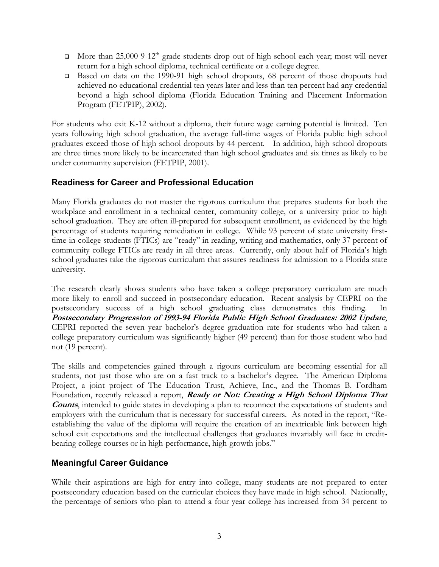- More than  $25,000$  9-12<sup>th</sup> grade students drop out of high school each year; most will never return for a high school diploma, technical certificate or a college degree.
- □ Based on data on the 1990-91 high school dropouts, 68 percent of those dropouts had achieved no educational credential ten years later and less than ten percent had any credential beyond a high school diploma (Florida Education Training and Placement Information Program (FETPIP), 2002).

For students who exit K-12 without a diploma, their future wage earning potential is limited. Ten years following high school graduation, the average full-time wages of Florida public high school graduates exceed those of high school dropouts by 44 percent. In addition, high school dropouts are three times more likely to be incarcerated than high school graduates and six times as likely to be under community supervision (FETPIP, 2001).

## **Readiness for Career and Professional Education**

Many Florida graduates do not master the rigorous curriculum that prepares students for both the workplace and enrollment in a technical center, community college, or a university prior to high school graduation. They are often ill-prepared for subsequent enrollment, as evidenced by the high percentage of students requiring remediation in college. While 93 percent of state university firsttime-in-college students (FTICs) are "ready" in reading, writing and mathematics, only 37 percent of community college FTICs are ready in all three areas. Currently, only about half of Florida's high school graduates take the rigorous curriculum that assures readiness for admission to a Florida state university.

The research clearly shows students who have taken a college preparatory curriculum are much more likely to enroll and succeed in postsecondary education. Recent analysis by CEPRI on the postsecondary success of a high school graduating class demonstrates this finding. In **Postsecondary Progression of 1993-94 Florida Public High School Graduates: 2002 Update**, CEPRI reported the seven year bachelor's degree graduation rate for students who had taken a college preparatory curriculum was significantly higher (49 percent) than for those student who had not (19 percent).

The skills and competencies gained through a rigours curriculum are becoming essential for all students, not just those who are on a fast track to a bachelor's degree. The American Diploma Project, a joint project of The Education Trust, Achieve, Inc., and the Thomas B. Fordham Foundation, recently released a report, **Ready or Not: Creating a High School Diploma That Counts**, intended to guide states in developing a plan to reconnect the expectations of students and employers with the curriculum that is necessary for successful careers. As noted in the report, "Reestablishing the value of the diploma will require the creation of an inextricable link between high school exit expectations and the intellectual challenges that graduates invariably will face in creditbearing college courses or in high-performance, high-growth jobs."

## **Meaningful Career Guidance**

While their aspirations are high for entry into college, many students are not prepared to enter postsecondary education based on the curricular choices they have made in high school. Nationally, the percentage of seniors who plan to attend a four year college has increased from 34 percent to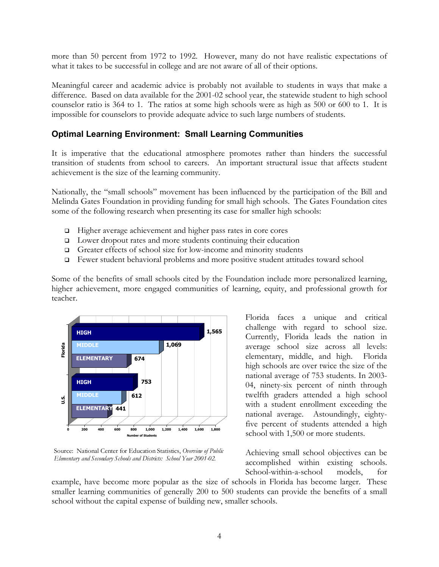more than 50 percent from 1972 to 1992. However, many do not have realistic expectations of what it takes to be successful in college and are not aware of all of their options.

Meaningful career and academic advice is probably not available to students in ways that make a difference. Based on data available for the 2001-02 school year, the statewide student to high school counselor ratio is 364 to 1. The ratios at some high schools were as high as 500 or 600 to 1. It is impossible for counselors to provide adequate advice to such large numbers of students.

## **Optimal Learning Environment: Small Learning Communities**

It is imperative that the educational atmosphere promotes rather than hinders the successful transition of students from school to careers. An important structural issue that affects student achievement is the size of the learning community.

Nationally, the "small schools" movement has been influenced by the participation of the Bill and Melinda Gates Foundation in providing funding for small high schools. The Gates Foundation cites some of the following research when presenting its case for smaller high schools:

- □ Higher average achievement and higher pass rates in core cores
- D Lower dropout rates and more students continuing their education
- Greater effects of school size for low-income and minority students
- Fewer student behavioral problems and more positive student attitudes toward school

Some of the benefits of small schools cited by the Foundation include more personalized learning, higher achievement, more engaged communities of learning, equity, and professional growth for teacher.



Source: National Center for Education Statistics, *Overview of Public Elementary and Secondary Schools and Districts: School Year 2001-02.*

Florida faces a unique and critical challenge with regard to school size. Currently, Florida leads the nation in average school size across all levels: elementary, middle, and high. Florida high schools are over twice the size of the national average of 753 students. In 2003- 04, ninety-six percent of ninth through twelfth graders attended a high school with a student enrollment exceeding the national average. Astoundingly, eightyfive percent of students attended a high school with 1,500 or more students.

Achieving small school objectives can be accomplished within existing schools. School-within-a-school models, for

example, have become more popular as the size of schools in Florida has become larger. These smaller learning communities of generally 200 to 500 students can provide the benefits of a small school without the capital expense of building new, smaller schools.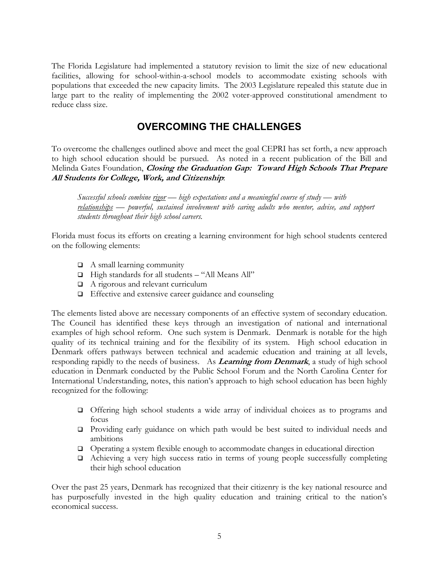The Florida Legislature had implemented a statutory revision to limit the size of new educational facilities, allowing for school-within-a-school models to accommodate existing schools with populations that exceeded the new capacity limits. The 2003 Legislature repealed this statute due in large part to the reality of implementing the 2002 voter-approved constitutional amendment to reduce class size.

# **OVERCOMING THE CHALLENGES**

To overcome the challenges outlined above and meet the goal CEPRI has set forth, a new approach to high school education should be pursued. As noted in a recent publication of the Bill and Melinda Gates Foundation, **Closing the Graduation Gap: Toward High Schools That Prepare All Students for College, Work, and Citizenship**:

*Successful schools combine rigor — high expectations and a meaningful course of study — with relationships — powerful, sustained involvement with caring adults who mentor, advise, and support students throughout their high school careers.* 

Florida must focus its efforts on creating a learning environment for high school students centered on the following elements:

- $\Box$  A small learning community
- □ High standards for all students "All Means All"
- $\Box$  A rigorous and relevant curriculum
- Effective and extensive career guidance and counseling

The elements listed above are necessary components of an effective system of secondary education. The Council has identified these keys through an investigation of national and international examples of high school reform. One such system is Denmark. Denmark is notable for the high quality of its technical training and for the flexibility of its system. High school education in Denmark offers pathways between technical and academic education and training at all levels, responding rapidly to the needs of business. As **Learning from Denmark**, a study of high school education in Denmark conducted by the Public School Forum and the North Carolina Center for International Understanding, notes, this nation's approach to high school education has been highly recognized for the following:

- Offering high school students a wide array of individual choices as to programs and focus
- **Providing early guidance on which path would be best suited to individual needs and** ambitions
- Operating a system flexible enough to accommodate changes in educational direction
- Achieving a very high success ratio in terms of young people successfully completing their high school education

Over the past 25 years, Denmark has recognized that their citizenry is the key national resource and has purposefully invested in the high quality education and training critical to the nation's economical success.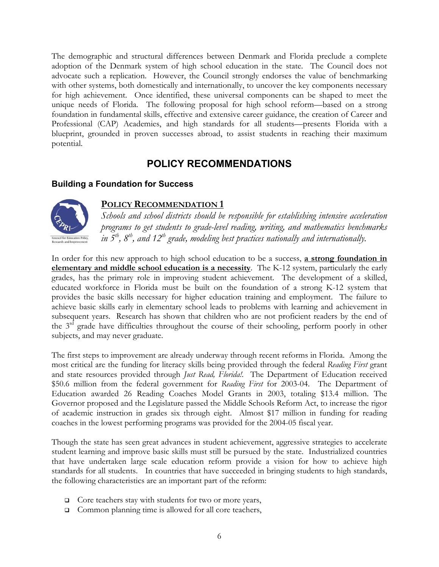The demographic and structural differences between Denmark and Florida preclude a complete adoption of the Denmark system of high school education in the state. The Council does not advocate such a replication. However, the Council strongly endorses the value of benchmarking with other systems, both domestically and internationally, to uncover the key components necessary for high achievement. Once identified, these universal components can be shaped to meet the unique needs of Florida. The following proposal for high school reform—based on a strong foundation in fundamental skills, effective and extensive career guidance, the creation of Career and Professional (CAP) Academies, and high standards for all students—presents Florida with a blueprint, grounded in proven successes abroad, to assist students in reaching their maximum potential.

# **POLICY RECOMMENDATIONS**

## **Building a Foundation for Success**



## **POLICY RECOMMENDATION 1**

*Schools and school districts should be responsible for establishing intensive acceleration programs to get students to grade-level reading, writing, and mathematics benchmarks in 5th, 8th, and 12th grade, modeling best practices nationally and internationally.* 

In order for this new approach to high school education to be a success, **a strong foundation in elementary and middle school education is a necessity**. The K-12 system, particularly the early grades, has the primary role in improving student achievement. The development of a skilled, educated workforce in Florida must be built on the foundation of a strong K-12 system that provides the basic skills necessary for higher education training and employment. The failure to achieve basic skills early in elementary school leads to problems with learning and achievement in subsequent years. Research has shown that children who are not proficient readers by the end of the 3<sup>rd</sup> grade have difficulties throughout the course of their schooling, perform poorly in other subjects, and may never graduate.

The first steps to improvement are already underway through recent reforms in Florida. Among the most critical are the funding for literacy skills being provided through the federal *Reading First* grant and state resources provided through *Just Read, Florida!*. The Department of Education received \$50.6 million from the federal government for *Reading First* for 2003-04. The Department of Education awarded 26 Reading Coaches Model Grants in 2003, totaling \$13.4 million. The Governor proposed and the Legislature passed the Middle Schools Reform Act, to increase the rigor of academic instruction in grades six through eight. Almost \$17 million in funding for reading coaches in the lowest performing programs was provided for the 2004-05 fiscal year.

Though the state has seen great advances in student achievement, aggressive strategies to accelerate student learning and improve basic skills must still be pursued by the state. Industrialized countries that have undertaken large scale education reform provide a vision for how to achieve high standards for all students. In countries that have succeeded in bringing students to high standards, the following characteristics are an important part of the reform:

- $\Box$  Core teachers stay with students for two or more years,
- □ Common planning time is allowed for all core teachers,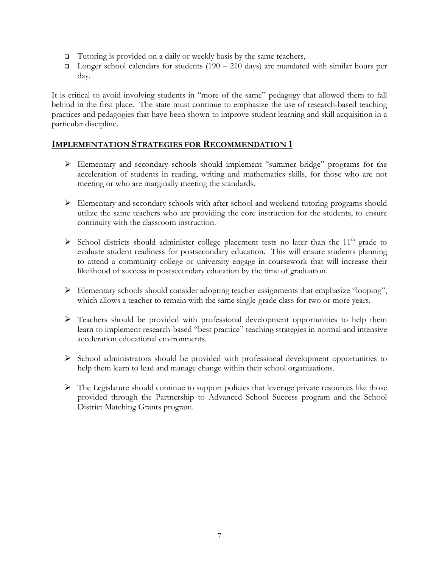- $\Box$  Tutoring is provided on a daily or weekly basis by the same teachers,
- $\Box$  Longer school calendars for students (190 210 days) are mandated with similar hours per day.

It is critical to avoid involving students in "more of the same" pedagogy that allowed them to fall behind in the first place. The state must continue to emphasize the use of research-based teaching practices and pedagogies that have been shown to improve student learning and skill acquisition in a particular discipline.

- ¾ Elementary and secondary schools should implement "summer bridge" programs for the acceleration of students in reading, writing and mathematics skills, for those who are not meeting or who are marginally meeting the standards.
- ¾ Elementary and secondary schools with after-school and weekend tutoring programs should utilize the same teachers who are providing the core instruction for the students, to ensure continuity with the classroom instruction.
- $\triangleright$  School districts should administer college placement tests no later than the 11<sup>th</sup> grade to evaluate student readiness for postsecondary education. This will ensure students planning to attend a community college or university engage in coursework that will increase their likelihood of success in postsecondary education by the time of graduation.
- ¾ Elementary schools should consider adopting teacher assignments that emphasize "looping", which allows a teacher to remain with the same single-grade class for two or more years.
- $\triangleright$  Teachers should be provided with professional development opportunities to help them learn to implement research-based "best practice" teaching strategies in normal and intensive acceleration educational environments.
- ¾ School administrators should be provided with professional development opportunities to help them learn to lead and manage change within their school organizations.
- $\triangleright$  The Legislature should continue to support policies that leverage private resources like those provided through the Partnership to Advanced School Success program and the School District Matching Grants program.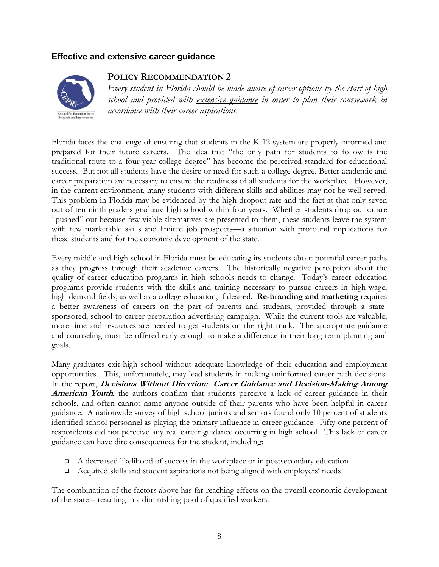#### **Effective and extensive career guidance**



#### **POLICY RECOMMENDATION 2**

*Every student in Florida should be made aware of career options by the start of high school and provided with extensive guidance in order to plan their coursework in accordance with their career aspirations.* 

Florida faces the challenge of ensuring that students in the K-12 system are properly informed and prepared for their future careers. The idea that "the only path for students to follow is the traditional route to a four-year college degree" has become the perceived standard for educational success. But not all students have the desire or need for such a college degree. Better academic and career preparation are necessary to ensure the readiness of all students for the workplace. However, in the current environment, many students with different skills and abilities may not be well served. This problem in Florida may be evidenced by the high dropout rate and the fact at that only seven out of ten ninth graders graduate high school within four years. Whether students drop out or are "pushed" out because few viable alternatives are presented to them, these students leave the system with few marketable skills and limited job prospects—a situation with profound implications for these students and for the economic development of the state.

Every middle and high school in Florida must be educating its students about potential career paths as they progress through their academic careers. The historically negative perception about the quality of career education programs in high schools needs to change. Today's career education programs provide students with the skills and training necessary to pursue careers in high-wage, high-demand fields, as well as a college education, if desired. **Re-branding and marketing** requires a better awareness of careers on the part of parents and students, provided through a statesponsored, school-to-career preparation advertising campaign. While the current tools are valuable, more time and resources are needed to get students on the right track. The appropriate guidance and counseling must be offered early enough to make a difference in their long-term planning and goals.

Many graduates exit high school without adequate knowledge of their education and employment opportunities. This, unfortunately, may lead students in making uninformed career path decisions. In the report, **Decisions Without Direction: Career Guidance and Decision-Making Among**  American Youth, the authors confirm that students perceive a lack of career guidance in their schools, and often cannot name anyone outside of their parents who have been helpful in career guidance. A nationwide survey of high school juniors and seniors found only 10 percent of students identified school personnel as playing the primary influence in career guidance. Fifty-one percent of respondents did not perceive any real career guidance occurring in high school. This lack of career guidance can have dire consequences for the student, including:

- $\Box$  A decreased likelihood of success in the workplace or in postsecondary education
- Acquired skills and student aspirations not being aligned with employers' needs

The combination of the factors above has far-reaching effects on the overall economic development of the state – resulting in a diminishing pool of qualified workers.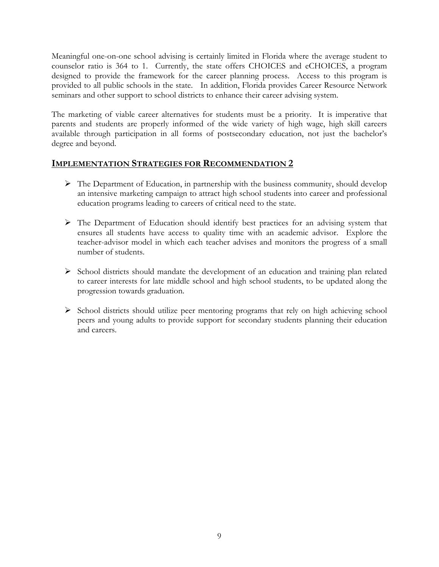Meaningful one-on-one school advising is certainly limited in Florida where the average student to counselor ratio is 364 to 1. Currently, the state offers CHOICES and eCHOICES, a program designed to provide the framework for the career planning process. Access to this program is provided to all public schools in the state. In addition, Florida provides Career Resource Network seminars and other support to school districts to enhance their career advising system.

The marketing of viable career alternatives for students must be a priority. It is imperative that parents and students are properly informed of the wide variety of high wage, high skill careers available through participation in all forms of postsecondary education, not just the bachelor's degree and beyond.

- $\triangleright$  The Department of Education, in partnership with the business community, should develop an intensive marketing campaign to attract high school students into career and professional education programs leading to careers of critical need to the state.
- $\triangleright$  The Department of Education should identify best practices for an advising system that ensures all students have access to quality time with an academic advisor. Explore the teacher-advisor model in which each teacher advises and monitors the progress of a small number of students.
- ¾ School districts should mandate the development of an education and training plan related to career interests for late middle school and high school students, to be updated along the progression towards graduation.
- ¾ School districts should utilize peer mentoring programs that rely on high achieving school peers and young adults to provide support for secondary students planning their education and careers.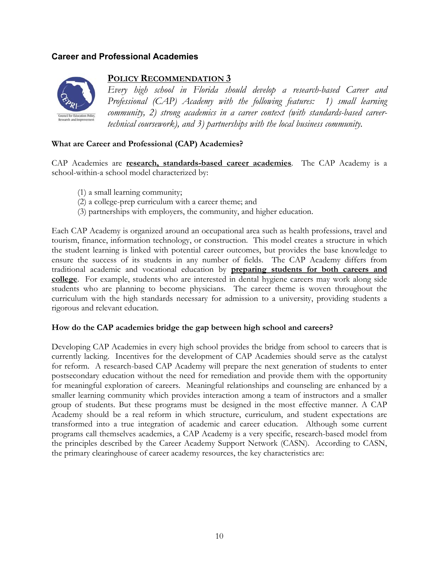## **Career and Professional Academies**



#### **POLICY RECOMMENDATION 3**

*Every high school in Florida should develop a research-based Career and Professional (CAP) Academy with the following features: 1) small learning community, 2) strong academics in a career context (with standards-based careertechnical coursework), and 3) partnerships with the local business community.* 

#### **What are Career and Professional (CAP) Academies?**

CAP Academies are **research, standards-based career academies**. The CAP Academy is a school-within-a school model characterized by:

- (1) a small learning community;
- (2) a college-prep curriculum with a career theme; and
- (3) partnerships with employers, the community, and higher education.

Each CAP Academy is organized around an occupational area such as health professions, travel and tourism, finance, information technology, or construction. This model creates a structure in which the student learning is linked with potential career outcomes, but provides the base knowledge to ensure the success of its students in any number of fields. The CAP Academy differs from traditional academic and vocational education by **preparing students for both careers and college**. For example, students who are interested in dental hygiene careers may work along side students who are planning to become physicians. The career theme is woven throughout the curriculum with the high standards necessary for admission to a university, providing students a rigorous and relevant education.

#### **How do the CAP academies bridge the gap between high school and careers?**

Developing CAP Academies in every high school provides the bridge from school to careers that is currently lacking. Incentives for the development of CAP Academies should serve as the catalyst for reform. A research-based CAP Academy will prepare the next generation of students to enter postsecondary education without the need for remediation and provide them with the opportunity for meaningful exploration of careers. Meaningful relationships and counseling are enhanced by a smaller learning community which provides interaction among a team of instructors and a smaller group of students. But these programs must be designed in the most effective manner. A CAP Academy should be a real reform in which structure, curriculum, and student expectations are transformed into a true integration of academic and career education. Although some current programs call themselves academies, a CAP Academy is a very specific, research-based model from the principles described by the Career Academy Support Network (CASN). According to CASN, the primary clearinghouse of career academy resources, the key characteristics are: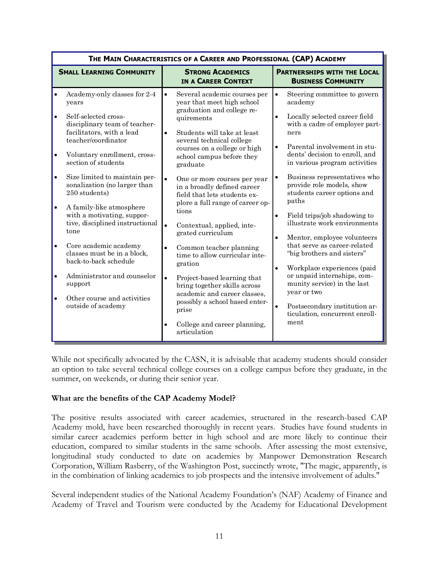| <b>SMALL LEARNING COMMUNITY</b><br><b>STRONG ACADEMICS</b><br>IN A CAREER CONTEXT<br>Academy-only classes for 2-4<br>Several academic courses per<br>$\bullet$<br>$\bullet$<br>$\bullet$<br>year that meet high school<br>academy<br>years<br>graduation and college re-<br>Self-selected cross-<br>$\bullet$<br>$\bullet$<br>quirements<br>disciplinary team of teacher-<br>facilitators, with a lead<br>Students will take at least<br>$\bullet$<br>ners<br>teacher/coordinator<br>several technical college<br>$\bullet$<br>courses on a college or high<br>$\bullet$<br>Voluntary enrollment, cross-<br>school campus before they<br>section of students<br>graduate<br>$\bullet$<br>Size limited to maintain per-<br>$\bullet$<br>$\bullet$<br>One or more courses per year<br>sonalization (no larger than<br>in a broadly defined career<br>250 students)<br>field that lets students ex-<br>paths<br>plore a full range of career op-<br>$\bullet$<br>A family-like atmosphere<br>tions<br>with a motivating, suppor-<br>$\bullet$<br>tive, disciplined instructional<br>Contextual, applied, inte- | <b>PARTNERSHIPS WITH THE LOCAL</b><br><b>BUSINESS COMMUNITY</b><br>Steering committee to govern<br>Locally selected career field<br>with a cadre of employer part-<br>Parental involvement in stu-                                                                                                                                                                                                                                                     |
|-------------------------------------------------------------------------------------------------------------------------------------------------------------------------------------------------------------------------------------------------------------------------------------------------------------------------------------------------------------------------------------------------------------------------------------------------------------------------------------------------------------------------------------------------------------------------------------------------------------------------------------------------------------------------------------------------------------------------------------------------------------------------------------------------------------------------------------------------------------------------------------------------------------------------------------------------------------------------------------------------------------------------------------------------------------------------------------------------------------|--------------------------------------------------------------------------------------------------------------------------------------------------------------------------------------------------------------------------------------------------------------------------------------------------------------------------------------------------------------------------------------------------------------------------------------------------------|
|                                                                                                                                                                                                                                                                                                                                                                                                                                                                                                                                                                                                                                                                                                                                                                                                                                                                                                                                                                                                                                                                                                             |                                                                                                                                                                                                                                                                                                                                                                                                                                                        |
| tone<br>grated curriculum<br>$\bullet$<br>Core academic academy<br>$\bullet$<br>Common teacher planning<br>$\bullet$<br>classes must be in a block,<br>time to allow curricular inte-<br>back-to-back schedule<br>gration<br>$\bullet$<br>Administrator and counselor<br>$\bullet$<br>$\bullet$<br>Project-based learning that<br>support<br>bring together skills across<br>year or two<br>academic and career classes,<br>Other course and activities<br>$\bullet$<br>possibly a school based enter-<br>outside of academy<br>$\bullet$<br>prise<br>ticulation, concurrent enroll-<br>ment<br>College and career planning,<br>$\bullet$<br>articulation                                                                                                                                                                                                                                                                                                                                                                                                                                                   | dents' decision to enroll, and<br>in various program activities<br>Business representatives who<br>provide role models, show<br>students career options and<br>Field trips/job shadowing to<br>illustrate work environments<br>Mentor, employee volunteers<br>that serve as career-related<br>"big brothers and sisters"<br>Workplace experiences (paid<br>or unpaid internships, com-<br>munity service) in the last<br>Postsecondary institution ar- |

While not specifically advocated by the CASN, it is advisable that academy students should consider an option to take several technical college courses on a college campus before they graduate, in the summer, on weekends, or during their senior year.

#### **What are the benefits of the CAP Academy Model?**

The positive results associated with career academies, structured in the research-based CAP Academy mold, have been researched thoroughly in recent years. Studies have found students in similar career academies perform better in high school and are more likely to continue their education, compared to similar students in the same schools. After assessing the most extensive, longitudinal study conducted to date on academies by Manpower Demonstration Research Corporation, William Rasberry, of the Washington Post, succinctly wrote, "The magic, apparently, is in the combination of linking academics to job prospects and the intensive involvement of adults."

Several independent studies of the National Academy Foundation's (NAF) Academy of Finance and Academy of Travel and Tourism were conducted by the Academy for Educational Development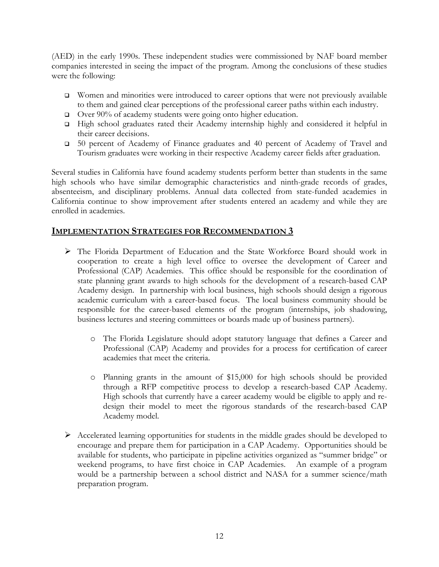(AED) in the early 1990s. These independent studies were commissioned by NAF board member companies interested in seeing the impact of the program. Among the conclusions of these studies were the following:

- □ Women and minorities were introduced to career options that were not previously available to them and gained clear perceptions of the professional career paths within each industry.
- □ Over 90% of academy students were going onto higher education.
- High school graduates rated their Academy internship highly and considered it helpful in their career decisions.
- 50 percent of Academy of Finance graduates and 40 percent of Academy of Travel and Tourism graduates were working in their respective Academy career fields after graduation.

Several studies in California have found academy students perform better than students in the same high schools who have similar demographic characteristics and ninth-grade records of grades, absenteeism, and disciplinary problems. Annual data collected from state-funded academies in California continue to show improvement after students entered an academy and while they are enrolled in academies.

- ¾ The Florida Department of Education and the State Workforce Board should work in cooperation to create a high level office to oversee the development of Career and Professional (CAP) Academies. This office should be responsible for the coordination of state planning grant awards to high schools for the development of a research-based CAP Academy design. In partnership with local business, high schools should design a rigorous academic curriculum with a career-based focus. The local business community should be responsible for the career-based elements of the program (internships, job shadowing, business lectures and steering committees or boards made up of business partners).
	- o The Florida Legislature should adopt statutory language that defines a Career and Professional (CAP) Academy and provides for a process for certification of career academies that meet the criteria.
	- o Planning grants in the amount of \$15,000 for high schools should be provided through a RFP competitive process to develop a research-based CAP Academy. High schools that currently have a career academy would be eligible to apply and redesign their model to meet the rigorous standards of the research-based CAP Academy model.
- $\triangleright$  Accelerated learning opportunities for students in the middle grades should be developed to encourage and prepare them for participation in a CAP Academy. Opportunities should be available for students, who participate in pipeline activities organized as "summer bridge" or weekend programs, to have first choice in CAP Academies. An example of a program would be a partnership between a school district and NASA for a summer science/math preparation program.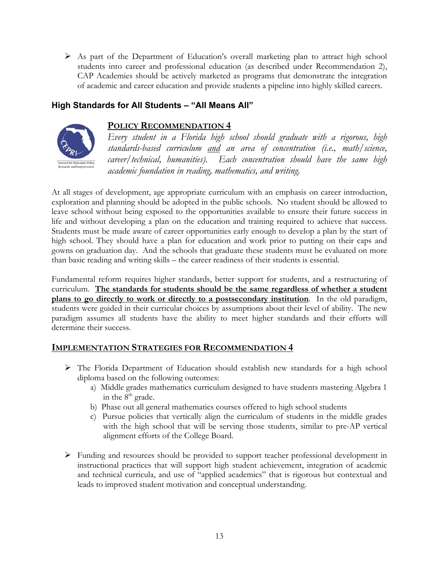¾ As part of the Department of Education's overall marketing plan to attract high school students into career and professional education (as described under Recommendation 2), CAP Academies should be actively marketed as programs that demonstrate the integration of academic and career education and provide students a pipeline into highly skilled careers.

## **High Standards for All Students – "All Means All"**



## **POLICY RECOMMENDATION 4**

*Every student in a Florida high school should graduate with a rigorous, high standards-based curriculum and an area of concentration (i.e., math/science, career/technical, humanities). Each concentration should have the same high academic foundation in reading, mathematics, and writing.* 

At all stages of development, age appropriate curriculum with an emphasis on career introduction, exploration and planning should be adopted in the public schools. No student should be allowed to leave school without being exposed to the opportunities available to ensure their future success in life and without developing a plan on the education and training required to achieve that success. Students must be made aware of career opportunities early enough to develop a plan by the start of high school. They should have a plan for education and work prior to putting on their caps and gowns on graduation day. And the schools that graduate these students must be evaluated on more than basic reading and writing skills – the career readiness of their students is essential.

Fundamental reform requires higher standards, better support for students, and a restructuring of curriculum. **The standards for students should be the same regardless of whether a student plans to go directly to work or directly to a postsecondary institution**. In the old paradigm, students were guided in their curricular choices by assumptions about their level of ability. The new paradigm assumes all students have the ability to meet higher standards and their efforts will determine their success.

- ¾ The Florida Department of Education should establish new standards for a high school diploma based on the following outcomes:
	- a) Middle grades mathematics curriculum designed to have students mastering Algebra 1 in the  $8<sup>th</sup>$  grade.
	- b) Phase out all general mathematics courses offered to high school students
	- c) Pursue policies that vertically align the curriculum of students in the middle grades with the high school that will be serving those students, similar to pre-AP vertical alignment efforts of the College Board.
- $\triangleright$  Funding and resources should be provided to support teacher professional development in instructional practices that will support high student achievement, integration of academic and technical curricula, and use of "applied academics" that is rigorous but contextual and leads to improved student motivation and conceptual understanding.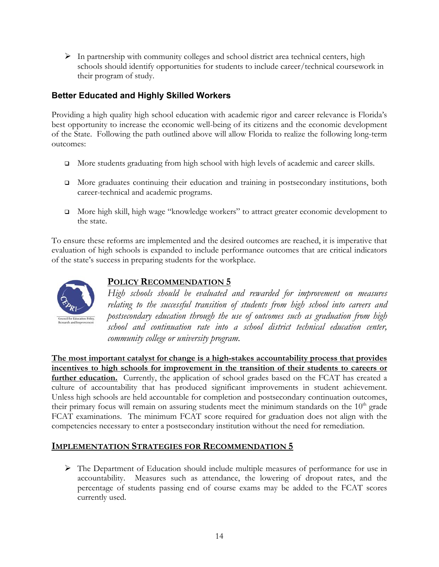$\triangleright$  In partnership with community colleges and school district area technical centers, high schools should identify opportunities for students to include career/technical coursework in their program of study.

## **Better Educated and Highly Skilled Workers**

Providing a high quality high school education with academic rigor and career relevance is Florida's best opportunity to increase the economic well-being of its citizens and the economic development of the State. Following the path outlined above will allow Florida to realize the following long-term outcomes:

- More students graduating from high school with high levels of academic and career skills.
- More graduates continuing their education and training in postsecondary institutions, both career-technical and academic programs.
- More high skill, high wage "knowledge workers" to attract greater economic development to the state.

To ensure these reforms are implemented and the desired outcomes are reached, it is imperative that evaluation of high schools is expanded to include performance outcomes that are critical indicators of the state's success in preparing students for the workplace.



## **POLICY RECOMMENDATION 5**

*High schools should be evaluated and rewarded for improvement on measures relating to the successful transition of students from high school into careers and postsecondary education through the use of outcomes such as graduation from high school and continuation rate into a school district technical education center, community college or university program.* 

**The most important catalyst for change is a high-stakes accountability process that provides incentives to high schools for improvement in the transition of their students to careers or**  further education. Currently, the application of school grades based on the FCAT has created a culture of accountability that has produced significant improvements in student achievement. Unless high schools are held accountable for completion and postsecondary continuation outcomes, their primary focus will remain on assuring students meet the minimum standards on the  $10<sup>th</sup>$  grade FCAT examinations. The minimum FCAT score required for graduation does not align with the competencies necessary to enter a postsecondary institution without the need for remediation.

## **IMPLEMENTATION STRATEGIES FOR RECOMMENDATION 5**

 $\triangleright$  The Department of Education should include multiple measures of performance for use in accountability. Measures such as attendance, the lowering of dropout rates, and the percentage of students passing end of course exams may be added to the FCAT scores currently used.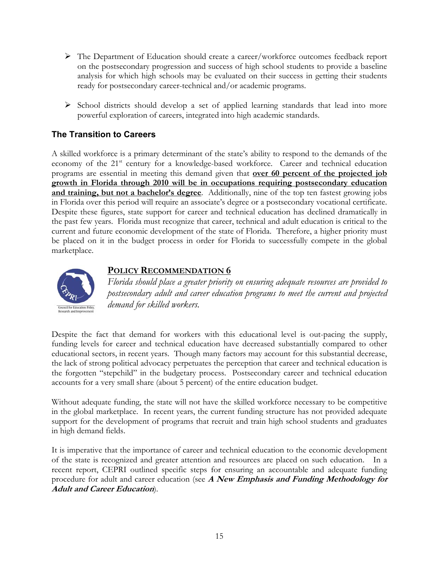- ¾ The Department of Education should create a career/workforce outcomes feedback report on the postsecondary progression and success of high school students to provide a baseline analysis for which high schools may be evaluated on their success in getting their students ready for postsecondary career-technical and/or academic programs.
- $\triangleright$  School districts should develop a set of applied learning standards that lead into more powerful exploration of careers, integrated into high academic standards.

## **The Transition to Careers**

A skilled workforce is a primary determinant of the state's ability to respond to the demands of the economy of the 21<sup>st</sup> century for a knowledge-based workforce. Career and technical education programs are essential in meeting this demand given that **over 60 percent of the projected job growth in Florida through 2010 will be in occupations requiring postsecondary education and training, but not a bachelor's degree**. Additionally, nine of the top ten fastest growing jobs in Florida over this period will require an associate's degree or a postsecondary vocational certificate. Despite these figures, state support for career and technical education has declined dramatically in the past few years. Florida must recognize that career, technical and adult education is critical to the current and future economic development of the state of Florida. Therefore, a higher priority must be placed on it in the budget process in order for Florida to successfully compete in the global marketplace.



## **POLICY RECOMMENDATION 6**

*Florida should place a greater priority on ensuring adequate resources are provided to postsecondary adult and career education programs to meet the current and projected demand for skilled workers.* 

Despite the fact that demand for workers with this educational level is out-pacing the supply, funding levels for career and technical education have decreased substantially compared to other educational sectors, in recent years. Though many factors may account for this substantial decrease, the lack of strong political advocacy perpetuates the perception that career and technical education is the forgotten "stepchild" in the budgetary process. Postsecondary career and technical education accounts for a very small share (about 5 percent) of the entire education budget.

Without adequate funding, the state will not have the skilled workforce necessary to be competitive in the global marketplace. In recent years, the current funding structure has not provided adequate support for the development of programs that recruit and train high school students and graduates in high demand fields.

It is imperative that the importance of career and technical education to the economic development of the state is recognized and greater attention and resources are placed on such education. In a recent report, CEPRI outlined specific steps for ensuring an accountable and adequate funding procedure for adult and career education (see **A New Emphasis and Funding Methodology for Adult and Career Education**).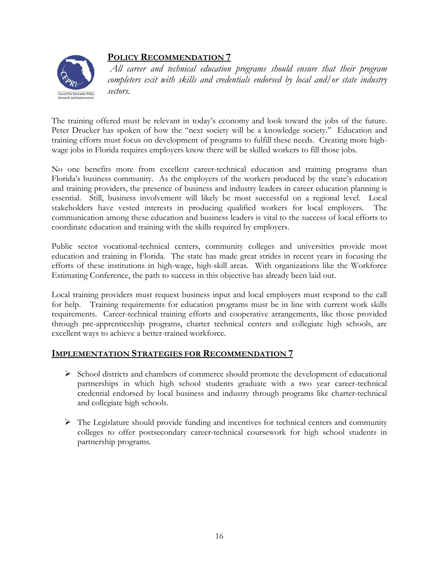

## **POLICY RECOMMENDATION 7**

*All career and technical education programs should ensure that their program completers exit with skills and credentials endorsed by local and/or state industry sectors.* 

The training offered must be relevant in today's economy and look toward the jobs of the future. Peter Drucker has spoken of how the "next society will be a knowledge society." Education and training efforts must focus on development of programs to fulfill these needs. Creating more highwage jobs in Florida requires employers know there will be skilled workers to fill those jobs.

No one benefits more from excellent career-technical education and training programs than Florida's business community. As the employers of the workers produced by the state's education and training providers, the presence of business and industry leaders in career education planning is essential. Still, business involvement will likely be most successful on a regional level. Local stakeholders have vested interests in producing qualified workers for local employers. The communication among these education and business leaders is vital to the success of local efforts to coordinate education and training with the skills required by employers.

Public sector vocational-technical centers, community colleges and universities provide most education and training in Florida. The state has made great strides in recent years in focusing the efforts of these institutions in high-wage, high-skill areas. With organizations like the Workforce Estimating Conference, the path to success in this objective has already been laid out.

Local training providers must request business input and local employers must respond to the call for help. Training requirements for education programs must be in line with current work skills requirements. Career-technical training efforts and cooperative arrangements, like those provided through pre-apprenticeship programs, charter technical centers and collegiate high schools, are excellent ways to achieve a better-trained workforce.

- ¾ School districts and chambers of commerce should promote the development of educational partnerships in which high school students graduate with a two year career-technical credential endorsed by local business and industry through programs like charter-technical and collegiate high schools.
- $\triangleright$  The Legislature should provide funding and incentives for technical centers and community colleges to offer postsecondary career-technical coursework for high school students in partnership programs.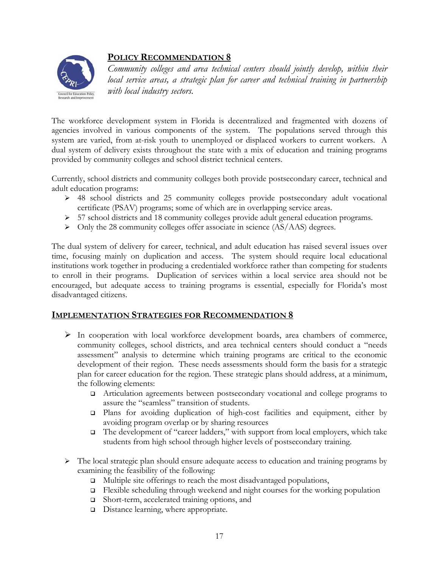

## **POLICY RECOMMENDATION 8**

*Community colleges and area technical centers should jointly develop, within their local service areas, a strategic plan for career and technical training in partnership with local industry sectors.* 

The workforce development system in Florida is decentralized and fragmented with dozens of agencies involved in various components of the system. The populations served through this system are varied, from at-risk youth to unemployed or displaced workers to current workers. A dual system of delivery exists throughout the state with a mix of education and training programs provided by community colleges and school district technical centers.

Currently, school districts and community colleges both provide postsecondary career, technical and adult education programs:

- ¾ 48 school districts and 25 community colleges provide postsecondary adult vocational certificate (PSAV) programs; some of which are in overlapping service areas.
- ¾ 57 school districts and 18 community colleges provide adult general education programs.
- $\triangleright$  Only the 28 community colleges offer associate in science (AS/AAS) degrees.

The dual system of delivery for career, technical, and adult education has raised several issues over time, focusing mainly on duplication and access. The system should require local educational institutions work together in producing a credentialed workforce rather than competing for students to enroll in their programs. Duplication of services within a local service area should not be encouraged, but adequate access to training programs is essential, especially for Florida's most disadvantaged citizens.

- ¾ In cooperation with local workforce development boards, area chambers of commerce, community colleges, school districts, and area technical centers should conduct a "needs assessment" analysis to determine which training programs are critical to the economic development of their region. These needs assessments should form the basis for a strategic plan for career education for the region. These strategic plans should address, at a minimum, the following elements:
	- Articulation agreements between postsecondary vocational and college programs to assure the "seamless" transition of students.
	- Plans for avoiding duplication of high-cost facilities and equipment, either by avoiding program overlap or by sharing resources
	- $\Box$  The development of "career ladders," with support from local employers, which take students from high school through higher levels of postsecondary training.
- $\triangleright$  The local strategic plan should ensure adequate access to education and training programs by examining the feasibility of the following:
	- $\Box$  Multiple site offerings to reach the most disadvantaged populations,
	- $\Box$  Flexible scheduling through weekend and night courses for the working population
	- □ Short-term, accelerated training options, and
	- Distance learning, where appropriate.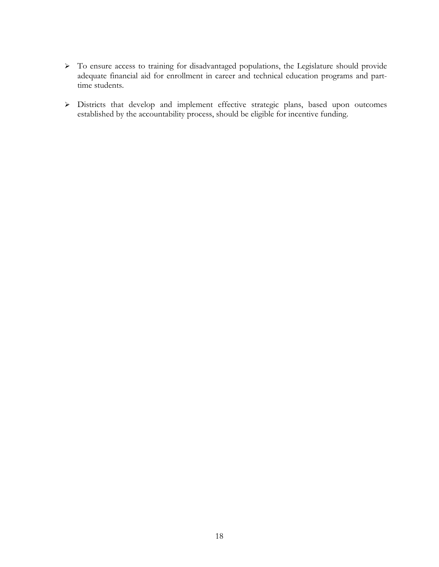- ¾ To ensure access to training for disadvantaged populations, the Legislature should provide adequate financial aid for enrollment in career and technical education programs and parttime students.
- ¾ Districts that develop and implement effective strategic plans, based upon outcomes established by the accountability process, should be eligible for incentive funding.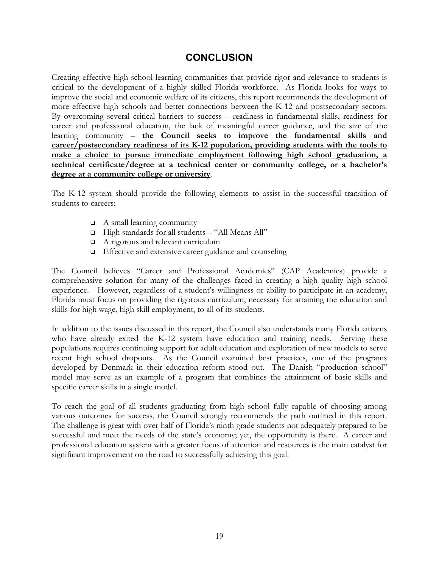# **CONCLUSION**

Creating effective high school learning communities that provide rigor and relevance to students is critical to the development of a highly skilled Florida workforce. As Florida looks for ways to improve the social and economic welfare of its citizens, this report recommends the development of more effective high schools and better connections between the K-12 and postsecondary sectors. By overcoming several critical barriers to success – readiness in fundamental skills, readiness for career and professional education, the lack of meaningful career guidance, and the size of the learning community – **the Council seeks to improve the fundamental skills and career/postsecondary readiness of its K-12 population, providing students with the tools to make a choice to pursue immediate employment following high school graduation, a technical certificate/degree at a technical center or community college, or a bachelor's degree at a community college or university**.

The K-12 system should provide the following elements to assist in the successful transition of students to careers:

- $\Box$  A small learning community
- High standards for all students "All Means All"
- A rigorous and relevant curriculum
- Effective and extensive career guidance and counseling

The Council believes "Career and Professional Academies" (CAP Academies) provide a comprehensive solution for many of the challenges faced in creating a high quality high school experience. However, regardless of a student's willingness or ability to participate in an academy, Florida must focus on providing the rigorous curriculum, necessary for attaining the education and skills for high wage, high skill employment, to all of its students.

In addition to the issues discussed in this report, the Council also understands many Florida citizens who have already exited the K-12 system have education and training needs. Serving these populations requires continuing support for adult education and exploration of new models to serve recent high school dropouts. As the Council examined best practices, one of the programs developed by Denmark in their education reform stood out. The Danish "production school" model may serve as an example of a program that combines the attainment of basic skills and specific career skills in a single model.

To reach the goal of all students graduating from high school fully capable of choosing among various outcomes for success, the Council strongly recommends the path outlined in this report. The challenge is great with over half of Florida's ninth grade students not adequately prepared to be successful and meet the needs of the state's economy; yet, the opportunity is there. A career and professional education system with a greater focus of attention and resources is the main catalyst for significant improvement on the road to successfully achieving this goal.